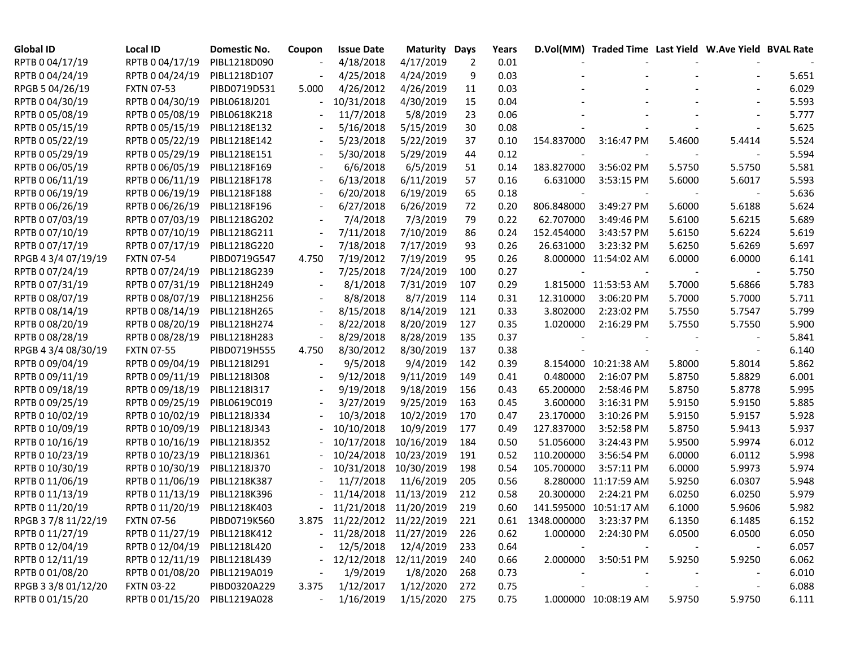| <b>Global ID</b>    | Local ID          | Domestic No. | Coupon | <b>Issue Date</b>           | <b>Maturity Days</b> |     | Years |                        | D.Vol(MM) Traded Time Last Yield W.Ave Yield BVAL Rate |        |        |       |
|---------------------|-------------------|--------------|--------|-----------------------------|----------------------|-----|-------|------------------------|--------------------------------------------------------|--------|--------|-------|
| RPTB 0 04/17/19     | RPTB 0 04/17/19   | PIBL1218D090 |        | 4/18/2018                   | 4/17/2019            | 2   | 0.01  |                        |                                                        |        |        |       |
| RPTB 0 04/24/19     | RPTB 0 04/24/19   | PIBL1218D107 |        | 4/25/2018                   | 4/24/2019            | 9   | 0.03  |                        |                                                        |        |        | 5.651 |
| RPGB 5 04/26/19     | <b>FXTN 07-53</b> | PIBD0719D531 | 5.000  | 4/26/2012                   | 4/26/2019            | 11  | 0.03  |                        |                                                        |        |        | 6.029 |
| RPTB 0 04/30/19     | RPTB 0 04/30/19   | PIBL0618J201 |        | 10/31/2018                  | 4/30/2019            | 15  | 0.04  |                        |                                                        |        |        | 5.593 |
| RPTB 0 05/08/19     | RPTB 0 05/08/19   | PIBL0618K218 |        | 11/7/2018                   | 5/8/2019             | 23  | 0.06  |                        |                                                        |        |        | 5.777 |
| RPTB 0 05/15/19     | RPTB 0 05/15/19   | PIBL1218E132 |        | 5/16/2018                   | 5/15/2019            | 30  | 0.08  |                        |                                                        |        |        | 5.625 |
| RPTB 0 05/22/19     | RPTB 0 05/22/19   | PIBL1218E142 |        | 5/23/2018                   | 5/22/2019            | 37  | 0.10  | 154.837000             | 3:16:47 PM                                             | 5.4600 | 5.4414 | 5.524 |
| RPTB 0 05/29/19     | RPTB 0 05/29/19   | PIBL1218E151 |        | 5/30/2018                   | 5/29/2019            | 44  | 0.12  |                        |                                                        |        |        | 5.594 |
| RPTB 0 06/05/19     | RPTB 0 06/05/19   | PIBL1218F169 |        | 6/6/2018                    | 6/5/2019             | 51  | 0.14  | 183.827000             | 3:56:02 PM                                             | 5.5750 | 5.5750 | 5.581 |
| RPTB 0 06/11/19     | RPTB 0 06/11/19   | PIBL1218F178 |        | 6/13/2018                   | 6/11/2019            | 57  | 0.16  | 6.631000               | 3:53:15 PM                                             | 5.6000 | 5.6017 | 5.593 |
| RPTB 0 06/19/19     | RPTB 0 06/19/19   | PIBL1218F188 |        | 6/20/2018                   | 6/19/2019            | 65  | 0.18  |                        |                                                        |        |        | 5.636 |
| RPTB 0 06/26/19     | RPTB 0 06/26/19   | PIBL1218F196 |        | 6/27/2018                   | 6/26/2019            | 72  | 0.20  | 806.848000             | 3:49:27 PM                                             | 5.6000 | 5.6188 | 5.624 |
| RPTB 0 07/03/19     | RPTB 0 07/03/19   | PIBL1218G202 |        | 7/4/2018                    | 7/3/2019             | 79  | 0.22  | 62.707000              | 3:49:46 PM                                             | 5.6100 | 5.6215 | 5.689 |
| RPTB 0 07/10/19     | RPTB 0 07/10/19   | PIBL1218G211 |        | 7/11/2018                   | 7/10/2019            | 86  | 0.24  | 152.454000             | 3:43:57 PM                                             | 5.6150 | 5.6224 | 5.619 |
| RPTB 0 07/17/19     | RPTB 0 07/17/19   | PIBL1218G220 |        | 7/18/2018                   | 7/17/2019            | 93  | 0.26  | 26.631000              | 3:23:32 PM                                             | 5.6250 | 5.6269 | 5.697 |
| RPGB 4 3/4 07/19/19 | <b>FXTN 07-54</b> | PIBD0719G547 | 4.750  | 7/19/2012                   | 7/19/2019            | 95  | 0.26  |                        | 8.000000 11:54:02 AM                                   | 6.0000 | 6.0000 | 6.141 |
| RPTB 0 07/24/19     | RPTB 0 07/24/19   | PIBL1218G239 |        | 7/25/2018                   | 7/24/2019            | 100 | 0.27  |                        |                                                        |        |        | 5.750 |
| RPTB 0 07/31/19     | RPTB 0 07/31/19   | PIBL1218H249 |        | 8/1/2018                    | 7/31/2019            | 107 | 0.29  |                        | 1.815000 11:53:53 AM                                   | 5.7000 | 5.6866 | 5.783 |
| RPTB 0 08/07/19     | RPTB 0 08/07/19   | PIBL1218H256 |        | 8/8/2018                    | 8/7/2019             | 114 | 0.31  | 12.310000              | 3:06:20 PM                                             | 5.7000 | 5.7000 | 5.711 |
| RPTB 0 08/14/19     | RPTB 0 08/14/19   | PIBL1218H265 |        | 8/15/2018                   | 8/14/2019            | 121 | 0.33  | 3.802000               | 2:23:02 PM                                             | 5.7550 | 5.7547 | 5.799 |
| RPTB 0 08/20/19     | RPTB 0 08/20/19   | PIBL1218H274 |        | 8/22/2018                   | 8/20/2019            | 127 | 0.35  | 1.020000               | 2:16:29 PM                                             | 5.7550 | 5.7550 | 5.900 |
| RPTB 0 08/28/19     | RPTB 0 08/28/19   | PIBL1218H283 |        | 8/29/2018                   | 8/28/2019            | 135 | 0.37  |                        |                                                        |        |        | 5.841 |
| RPGB 4 3/4 08/30/19 | <b>FXTN 07-55</b> | PIBD0719H555 | 4.750  | 8/30/2012                   | 8/30/2019            | 137 | 0.38  |                        |                                                        |        |        | 6.140 |
| RPTB 0 09/04/19     | RPTB 0 09/04/19   | PIBL1218I291 |        | 9/5/2018                    | 9/4/2019             | 142 | 0.39  |                        | 8.154000 10:21:38 AM                                   | 5.8000 | 5.8014 | 5.862 |
| RPTB 0 09/11/19     | RPTB 0 09/11/19   | PIBL1218I308 |        | 9/12/2018                   | 9/11/2019            | 149 | 0.41  | 0.480000               | 2:16:07 PM                                             | 5.8750 | 5.8829 | 6.001 |
| RPTB 0 09/18/19     | RPTB 0 09/18/19   | PIBL1218I317 |        | 9/19/2018                   | 9/18/2019            | 156 | 0.43  | 65.200000              | 2:58:46 PM                                             | 5.8750 | 5.8778 | 5.995 |
| RPTB 0 09/25/19     | RPTB 0 09/25/19   | PIBL0619C019 |        | 3/27/2019                   | 9/25/2019            | 163 | 0.45  | 3.600000               | 3:16:31 PM                                             | 5.9150 | 5.9150 | 5.885 |
| RPTB 0 10/02/19     | RPTB 0 10/02/19   | PIBL1218J334 |        | 10/3/2018                   | 10/2/2019            | 170 | 0.47  | 23.170000              | 3:10:26 PM                                             | 5.9150 | 5.9157 | 5.928 |
| RPTB 0 10/09/19     | RPTB 0 10/09/19   | PIBL1218J343 |        | 10/10/2018                  | 10/9/2019            | 177 | 0.49  | 127.837000             | 3:52:58 PM                                             | 5.8750 | 5.9413 | 5.937 |
| RPTB 0 10/16/19     | RPTB 0 10/16/19   | PIBL1218J352 |        | 10/17/2018                  | 10/16/2019           | 184 | 0.50  | 51.056000              | 3:24:43 PM                                             | 5.9500 | 5.9974 | 6.012 |
| RPTB 0 10/23/19     | RPTB 0 10/23/19   | PIBL1218J361 |        | 10/24/2018                  | 10/23/2019           | 191 | 0.52  | 110.200000             | 3:56:54 PM                                             | 6.0000 | 6.0112 | 5.998 |
| RPTB 0 10/30/19     | RPTB 0 10/30/19   | PIBL1218J370 |        | 10/31/2018                  | 10/30/2019           | 198 | 0.54  | 105.700000             | 3:57:11 PM                                             | 6.0000 | 5.9973 | 5.974 |
| RPTB 0 11/06/19     | RPTB 0 11/06/19   | PIBL1218K387 |        | 11/7/2018                   | 11/6/2019            | 205 | 0.56  |                        | 8.280000 11:17:59 AM                                   | 5.9250 | 6.0307 | 5.948 |
| RPTB 0 11/13/19     | RPTB 0 11/13/19   | PIBL1218K396 |        | 11/14/2018                  | 11/13/2019           | 212 | 0.58  | 20.300000              | 2:24:21 PM                                             | 6.0250 | 6.0250 | 5.979 |
| RPTB 0 11/20/19     | RPTB 0 11/20/19   | PIBL1218K403 |        | 11/21/2018 11/20/2019       |                      | 219 | 0.60  |                        | 141.595000 10:51:17 AM                                 | 6.1000 | 5.9606 | 5.982 |
| RPGB 37/8 11/22/19  | <b>FXTN 07-56</b> | PIBD0719K560 |        | 3.875 11/22/2012 11/22/2019 |                      | 221 | 0.61  | 1348.000000 3:23:37 PM |                                                        | 6.1350 | 6.1485 | 6.152 |
| RPTB 0 11/27/19     | RPTB 0 11/27/19   | PIBL1218K412 |        | $-11/28/2018$ $11/27/2019$  |                      | 226 | 0.62  | 1.000000               | 2:24:30 PM                                             | 6.0500 | 6.0500 | 6.050 |
| RPTB 0 12/04/19     | RPTB 0 12/04/19   | PIBL1218L420 |        | 12/5/2018                   | 12/4/2019            | 233 | 0.64  |                        |                                                        |        |        | 6.057 |
| RPTB 0 12/11/19     | RPTB 0 12/11/19   | PIBL1218L439 |        | 12/12/2018                  | 12/11/2019           | 240 | 0.66  | 2.000000               | 3:50:51 PM                                             | 5.9250 | 5.9250 | 6.062 |
| RPTB 0 01/08/20     | RPTB 0 01/08/20   | PIBL1219A019 |        | 1/9/2019                    | 1/8/2020             | 268 | 0.73  |                        |                                                        |        |        | 6.010 |
| RPGB 3 3/8 01/12/20 | <b>FXTN 03-22</b> | PIBD0320A229 | 3.375  | 1/12/2017                   | 1/12/2020            | 272 | 0.75  |                        |                                                        |        |        | 6.088 |
| RPTB 0 01/15/20     | RPTB 0 01/15/20   | PIBL1219A028 |        | 1/16/2019                   | 1/15/2020            | 275 | 0.75  |                        | 1.000000 10:08:19 AM                                   | 5.9750 | 5.9750 | 6.111 |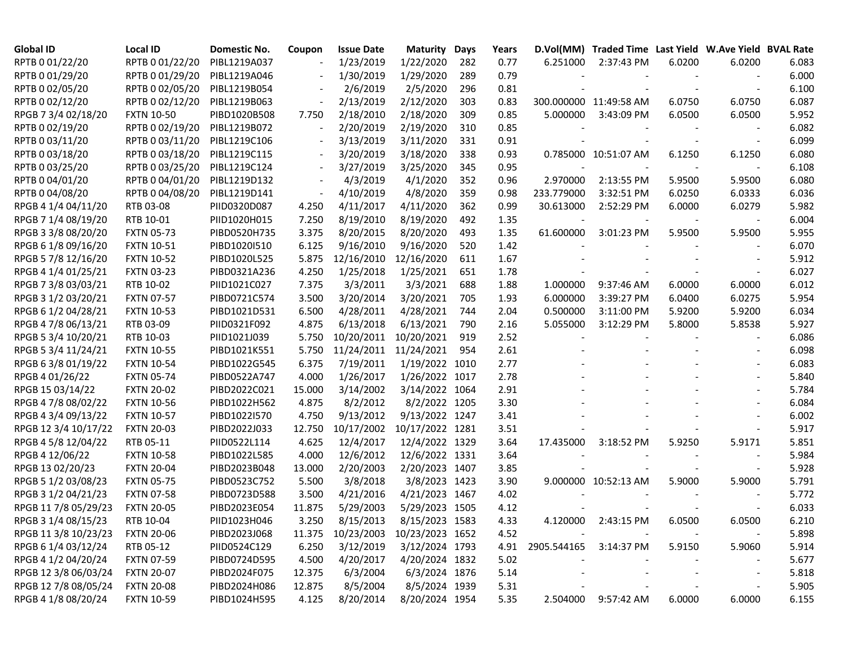| <b>Global ID</b>     | <b>Local ID</b>   | Domestic No. | Coupon                   | <b>Issue Date</b> | <b>Maturity</b> | Days | Years |             | D.Vol(MM) Traded Time Last Yield W.Ave Yield BVAL Rate |        |                          |       |
|----------------------|-------------------|--------------|--------------------------|-------------------|-----------------|------|-------|-------------|--------------------------------------------------------|--------|--------------------------|-------|
| RPTB 0 01/22/20      | RPTB 0 01/22/20   | PIBL1219A037 |                          | 1/23/2019         | 1/22/2020       | 282  | 0.77  | 6.251000    | 2:37:43 PM                                             | 6.0200 | 6.0200                   | 6.083 |
| RPTB 0 01/29/20      | RPTB 0 01/29/20   | PIBL1219A046 |                          | 1/30/2019         | 1/29/2020       | 289  | 0.79  |             |                                                        |        |                          | 6.000 |
| RPTB 0 02/05/20      | RPTB 0 02/05/20   | PIBL1219B054 |                          | 2/6/2019          | 2/5/2020        | 296  | 0.81  |             |                                                        |        |                          | 6.100 |
| RPTB 0 02/12/20      | RPTB 0 02/12/20   | PIBL1219B063 |                          | 2/13/2019         | 2/12/2020       | 303  | 0.83  |             | 300.000000 11:49:58 AM                                 | 6.0750 | 6.0750                   | 6.087 |
| RPGB 7 3/4 02/18/20  | <b>FXTN 10-50</b> | PIBD1020B508 | 7.750                    | 2/18/2010         | 2/18/2020       | 309  | 0.85  | 5.000000    | 3:43:09 PM                                             | 6.0500 | 6.0500                   | 5.952 |
| RPTB 0 02/19/20      | RPTB 0 02/19/20   | PIBL1219B072 |                          | 2/20/2019         | 2/19/2020       | 310  | 0.85  |             |                                                        |        |                          | 6.082 |
| RPTB 0 03/11/20      | RPTB 0 03/11/20   | PIBL1219C106 |                          | 3/13/2019         | 3/11/2020       | 331  | 0.91  |             |                                                        |        | $\overline{\phantom{a}}$ | 6.099 |
| RPTB 0 03/18/20      | RPTB 0 03/18/20   | PIBL1219C115 | $\overline{\phantom{a}}$ | 3/20/2019         | 3/18/2020       | 338  | 0.93  |             | 0.785000 10:51:07 AM                                   | 6.1250 | 6.1250                   | 6.080 |
| RPTB 0 03/25/20      | RPTB 0 03/25/20   | PIBL1219C124 | $\blacksquare$           | 3/27/2019         | 3/25/2020       | 345  | 0.95  |             |                                                        |        |                          | 6.108 |
| RPTB 0 04/01/20      | RPTB 0 04/01/20   | PIBL1219D132 | $\overline{\phantom{a}}$ | 4/3/2019          | 4/1/2020        | 352  | 0.96  | 2.970000    | 2:13:55 PM                                             | 5.9500 | 5.9500                   | 6.080 |
| RPTB 0 04/08/20      | RPTB 0 04/08/20   | PIBL1219D141 |                          | 4/10/2019         | 4/8/2020        | 359  | 0.98  | 233.779000  | 3:32:51 PM                                             | 6.0250 | 6.0333                   | 6.036 |
| RPGB 4 1/4 04/11/20  | RTB 03-08         | PIID0320D087 | 4.250                    | 4/11/2017         | 4/11/2020       | 362  | 0.99  | 30.613000   | 2:52:29 PM                                             | 6.0000 | 6.0279                   | 5.982 |
| RPGB 7 1/4 08/19/20  | RTB 10-01         | PIID1020H015 | 7.250                    | 8/19/2010         | 8/19/2020       | 492  | 1.35  |             |                                                        |        |                          | 6.004 |
| RPGB 3 3/8 08/20/20  | <b>FXTN 05-73</b> | PIBD0520H735 | 3.375                    | 8/20/2015         | 8/20/2020       | 493  | 1.35  | 61.600000   | 3:01:23 PM                                             | 5.9500 | 5.9500                   | 5.955 |
| RPGB 6 1/8 09/16/20  | <b>FXTN 10-51</b> | PIBD1020I510 | 6.125                    | 9/16/2010         | 9/16/2020       | 520  | 1.42  |             |                                                        |        |                          | 6.070 |
| RPGB 5 7/8 12/16/20  | <b>FXTN 10-52</b> | PIBD1020L525 | 5.875                    | 12/16/2010        | 12/16/2020      | 611  | 1.67  |             |                                                        |        |                          | 5.912 |
| RPGB 4 1/4 01/25/21  | <b>FXTN 03-23</b> | PIBD0321A236 | 4.250                    | 1/25/2018         | 1/25/2021       | 651  | 1.78  |             |                                                        |        | $\overline{\phantom{a}}$ | 6.027 |
| RPGB 7 3/8 03/03/21  | RTB 10-02         | PIID1021C027 | 7.375                    | 3/3/2011          | 3/3/2021        | 688  | 1.88  | 1.000000    | 9:37:46 AM                                             | 6.0000 | 6.0000                   | 6.012 |
| RPGB 3 1/2 03/20/21  | <b>FXTN 07-57</b> | PIBD0721C574 | 3.500                    | 3/20/2014         | 3/20/2021       | 705  | 1.93  | 6.000000    | 3:39:27 PM                                             | 6.0400 | 6.0275                   | 5.954 |
| RPGB 6 1/2 04/28/21  | <b>FXTN 10-53</b> | PIBD1021D531 | 6.500                    | 4/28/2011         | 4/28/2021       | 744  | 2.04  | 0.500000    | 3:11:00 PM                                             | 5.9200 | 5.9200                   | 6.034 |
| RPGB 4 7/8 06/13/21  | RTB 03-09         | PIID0321F092 | 4.875                    | 6/13/2018         | 6/13/2021       | 790  | 2.16  | 5.055000    | 3:12:29 PM                                             | 5.8000 | 5.8538                   | 5.927 |
| RPGB 5 3/4 10/20/21  | RTB 10-03         | PIID1021J039 | 5.750                    | 10/20/2011        | 10/20/2021      | 919  | 2.52  |             |                                                        |        |                          | 6.086 |
| RPGB 5 3/4 11/24/21  | <b>FXTN 10-55</b> | PIBD1021K551 | 5.750                    | 11/24/2011        | 11/24/2021      | 954  | 2.61  |             |                                                        |        |                          | 6.098 |
| RPGB 63/8 01/19/22   | <b>FXTN 10-54</b> | PIBD1022G545 | 6.375                    | 7/19/2011         | 1/19/2022 1010  |      | 2.77  |             |                                                        |        |                          | 6.083 |
| RPGB 4 01/26/22      | <b>FXTN 05-74</b> | PIBD0522A747 | 4.000                    | 1/26/2017         | 1/26/2022 1017  |      | 2.78  |             |                                                        |        |                          | 5.840 |
| RPGB 15 03/14/22     | <b>FXTN 20-02</b> | PIBD2022C021 | 15.000                   | 3/14/2002         | 3/14/2022 1064  |      | 2.91  |             |                                                        |        |                          | 5.784 |
| RPGB 4 7/8 08/02/22  | <b>FXTN 10-56</b> | PIBD1022H562 | 4.875                    | 8/2/2012          | 8/2/2022 1205   |      | 3.30  |             |                                                        |        |                          | 6.084 |
| RPGB 4 3/4 09/13/22  | <b>FXTN 10-57</b> | PIBD1022I570 | 4.750                    | 9/13/2012         | 9/13/2022 1247  |      | 3.41  |             |                                                        |        |                          | 6.002 |
| RPGB 12 3/4 10/17/22 | <b>FXTN 20-03</b> | PIBD2022J033 | 12.750                   | 10/17/2002        | 10/17/2022 1281 |      | 3.51  |             |                                                        |        |                          | 5.917 |
| RPGB 4 5/8 12/04/22  | RTB 05-11         | PIID0522L114 | 4.625                    | 12/4/2017         | 12/4/2022 1329  |      | 3.64  | 17.435000   | 3:18:52 PM                                             | 5.9250 | 5.9171                   | 5.851 |
| RPGB 4 12/06/22      | <b>FXTN 10-58</b> | PIBD1022L585 | 4.000                    | 12/6/2012         | 12/6/2022 1331  |      | 3.64  |             |                                                        |        |                          | 5.984 |
| RPGB 13 02/20/23     | <b>FXTN 20-04</b> | PIBD2023B048 | 13.000                   | 2/20/2003         | 2/20/2023 1407  |      | 3.85  |             |                                                        |        | $\overline{\phantom{a}}$ | 5.928 |
| RPGB 5 1/2 03/08/23  | <b>FXTN 05-75</b> | PIBD0523C752 | 5.500                    | 3/8/2018          | 3/8/2023 1423   |      | 3.90  |             | 9.000000 10:52:13 AM                                   | 5.9000 | 5.9000                   | 5.791 |
| RPGB 3 1/2 04/21/23  | <b>FXTN 07-58</b> | PIBD0723D588 | 3.500                    | 4/21/2016         | 4/21/2023 1467  |      | 4.02  |             |                                                        |        | $\overline{\phantom{a}}$ | 5.772 |
| RPGB 11 7/8 05/29/23 | <b>FXTN 20-05</b> | PIBD2023E054 | 11.875                   | 5/29/2003         | 5/29/2023 1505  |      | 4.12  |             |                                                        |        |                          | 6.033 |
| RPGB 3 1/4 08/15/23  | RTB 10-04         | PIID1023H046 | 3.250                    | 8/15/2013         | 8/15/2023 1583  |      | 4.33  |             | 4.120000 2:43:15 PM                                    | 6.0500 | 6.0500                   | 6.210 |
| RPGB 11 3/8 10/23/23 | <b>FXTN 20-06</b> | PIBD2023J068 | 11.375                   | 10/23/2003        | 10/23/2023 1652 |      | 4.52  |             |                                                        |        |                          | 5.898 |
| RPGB 6 1/4 03/12/24  | RTB 05-12         | PIID0524C129 | 6.250                    | 3/12/2019         | 3/12/2024 1793  |      | 4.91  | 2905.544165 | 3:14:37 PM                                             | 5.9150 | 5.9060                   | 5.914 |
| RPGB 4 1/2 04/20/24  | <b>FXTN 07-59</b> | PIBD0724D595 | 4.500                    | 4/20/2017         | 4/20/2024 1832  |      | 5.02  |             |                                                        |        |                          | 5.677 |
| RPGB 12 3/8 06/03/24 | <b>FXTN 20-07</b> | PIBD2024F075 | 12.375                   | 6/3/2004          | 6/3/2024 1876   |      | 5.14  |             |                                                        |        |                          | 5.818 |
| RPGB 12 7/8 08/05/24 | <b>FXTN 20-08</b> | PIBD2024H086 | 12.875                   | 8/5/2004          | 8/5/2024 1939   |      | 5.31  |             |                                                        |        |                          | 5.905 |
| RPGB 4 1/8 08/20/24  | <b>FXTN 10-59</b> | PIBD1024H595 | 4.125                    | 8/20/2014         | 8/20/2024 1954  |      | 5.35  |             | 2.504000 9:57:42 AM                                    | 6.0000 | 6.0000                   | 6.155 |
|                      |                   |              |                          |                   |                 |      |       |             |                                                        |        |                          |       |